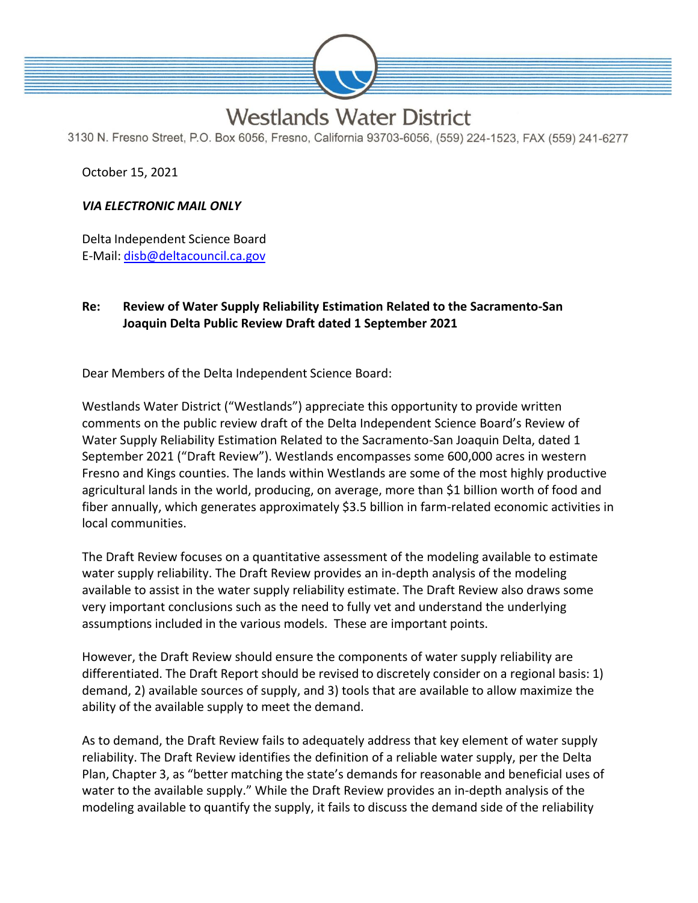

## **Westlands Water District**

3130 N. Fresno Street, P.O. Box 6056, Fresno, California 93703-6056, (559) 224-1523, FAX (559) 241-6277

October 15, 2021

## *VIA ELECTRONIC MAIL ONLY*

Delta Independent Science Board E-Mail: [disb@deltacouncil.ca.gov](mailto:disb@deltacouncil.ca.gov)

## **Re: Review of Water Supply Reliability Estimation Related to the Sacramento-San Joaquin Delta Public Review Draft dated 1 September 2021**

Dear Members of the Delta Independent Science Board:

Westlands Water District ("Westlands") appreciate this opportunity to provide written comments on the public review draft of the Delta Independent Science Board's Review of Water Supply Reliability Estimation Related to the Sacramento-San Joaquin Delta, dated 1 September 2021 ("Draft Review"). Westlands encompasses some 600,000 acres in western Fresno and Kings counties. The lands within Westlands are some of the most highly productive agricultural lands in the world, producing, on average, more than \$1 billion worth of food and fiber annually, which generates approximately \$3.5 billion in farm-related economic activities in local communities.

The Draft Review focuses on a quantitative assessment of the modeling available to estimate water supply reliability. The Draft Review provides an in-depth analysis of the modeling available to assist in the water supply reliability estimate. The Draft Review also draws some very important conclusions such as the need to fully vet and understand the underlying assumptions included in the various models. These are important points.

However, the Draft Review should ensure the components of water supply reliability are differentiated. The Draft Report should be revised to discretely consider on a regional basis: 1) demand, 2) available sources of supply, and 3) tools that are available to allow maximize the ability of the available supply to meet the demand.

As to demand, the Draft Review fails to adequately address that key element of water supply reliability. The Draft Review identifies the definition of a reliable water supply, per the Delta Plan, Chapter 3, as "better matching the state's demands for reasonable and beneficial uses of water to the available supply." While the Draft Review provides an in-depth analysis of the modeling available to quantify the supply, it fails to discuss the demand side of the reliability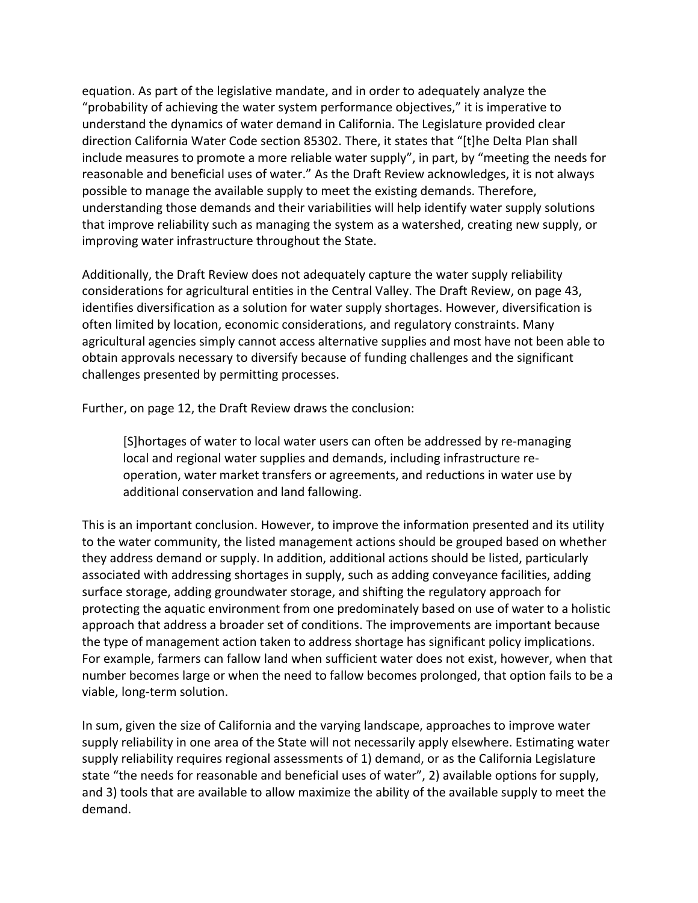equation. As part of the legislative mandate, and in order to adequately analyze the "probability of achieving the water system performance objectives," it is imperative to understand the dynamics of water demand in California. The Legislature provided clear direction California Water Code section 85302. There, it states that "[t]he Delta Plan shall include measures to promote a more reliable water supply", in part, by "meeting the needs for reasonable and beneficial uses of water." As the Draft Review acknowledges, it is not always possible to manage the available supply to meet the existing demands. Therefore, understanding those demands and their variabilities will help identify water supply solutions that improve reliability such as managing the system as a watershed, creating new supply, or improving water infrastructure throughout the State.

Additionally, the Draft Review does not adequately capture the water supply reliability considerations for agricultural entities in the Central Valley. The Draft Review, on page 43, identifies diversification as a solution for water supply shortages. However, diversification is often limited by location, economic considerations, and regulatory constraints. Many agricultural agencies simply cannot access alternative supplies and most have not been able to obtain approvals necessary to diversify because of funding challenges and the significant challenges presented by permitting processes.

Further, on page 12, the Draft Review draws the conclusion:

[S]hortages of water to local water users can often be addressed by re-managing local and regional water supplies and demands, including infrastructure reoperation, water market transfers or agreements, and reductions in water use by additional conservation and land fallowing.

This is an important conclusion. However, to improve the information presented and its utility to the water community, the listed management actions should be grouped based on whether they address demand or supply. In addition, additional actions should be listed, particularly associated with addressing shortages in supply, such as adding conveyance facilities, adding surface storage, adding groundwater storage, and shifting the regulatory approach for protecting the aquatic environment from one predominately based on use of water to a holistic approach that address a broader set of conditions. The improvements are important because the type of management action taken to address shortage has significant policy implications. For example, farmers can fallow land when sufficient water does not exist, however, when that number becomes large or when the need to fallow becomes prolonged, that option fails to be a viable, long-term solution.

In sum, given the size of California and the varying landscape, approaches to improve water supply reliability in one area of the State will not necessarily apply elsewhere. Estimating water supply reliability requires regional assessments of 1) demand, or as the California Legislature state "the needs for reasonable and beneficial uses of water", 2) available options for supply, and 3) tools that are available to allow maximize the ability of the available supply to meet the demand.